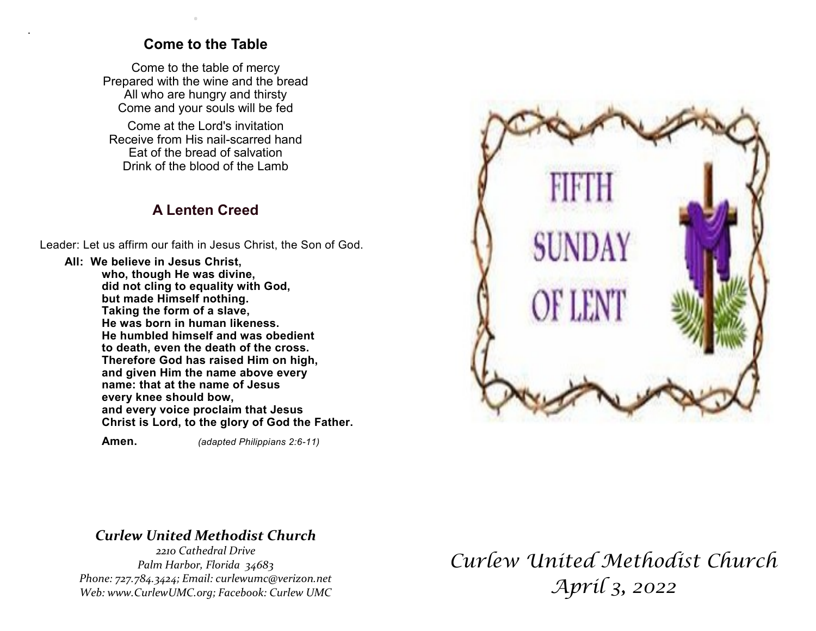## **Come to the Table**

.

.

Come to the table of mercy Prepared with the wine and the bread All who are hungry and thirsty Come and your souls will be fed

Come at the Lord's invitation Receive from His nail-scarred hand Eat of the bread of salvation Drink of the blood of the Lamb

## **A Lenten Creed**

Leader: Let us affirm our faith in Jesus Christ, the Son of God.

**All: We believe in Jesus Christ, who, though He was divine, did not cling to equality with God, but made Himself nothing. Taking the form of a slave, He was born in human likeness. He humbled himself and was obedient to death, even the death of the cross. Therefore God has raised Him on high, and given Him the name above every name: that at the name of Jesus every knee should bow, and every voice proclaim that Jesus Christ is Lord, to the glory of God the Father.**

 **Amen.** *(adapted Philippians 2:6-11)*



## *Curlew United Methodist Church*

*2210 Cathedral Drive Palm Harbor, Florida 34683 Phone: 727.784.3424; Email: curlewumc@verizon.net Web: www.CurlewUMC.org; Facebook: Curlew UMC*

*Curlew United Methodist Church April 3, 2022*